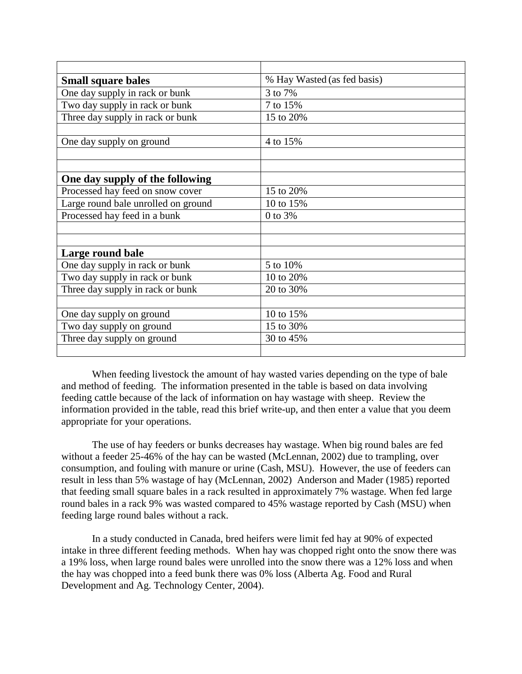| <b>Small square bales</b>           | % Hay Wasted (as fed basis) |
|-------------------------------------|-----------------------------|
| One day supply in rack or bunk      | 3 to 7%                     |
| Two day supply in rack or bunk      | 7 to 15%                    |
| Three day supply in rack or bunk    | 15 to 20%                   |
|                                     |                             |
| One day supply on ground            | 4 to 15%                    |
|                                     |                             |
|                                     |                             |
| One day supply of the following     |                             |
| Processed hay feed on snow cover    | 15 to 20%                   |
| Large round bale unrolled on ground | 10 to 15%                   |
| Processed hay feed in a bunk        | 0 to 3%                     |
|                                     |                             |
|                                     |                             |
| Large round bale                    |                             |
| One day supply in rack or bunk      | 5 to 10%                    |
| Two day supply in rack or bunk      | 10 to 20%                   |
| Three day supply in rack or bunk    | 20 to 30%                   |
|                                     |                             |
| One day supply on ground            | 10 to 15%                   |
| Two day supply on ground            | 15 to 30%                   |
| Three day supply on ground          | 30 to 45%                   |
|                                     |                             |

When feeding livestock the amount of hay wasted varies depending on the type of bale and method of feeding. The information presented in the table is based on data involving feeding cattle because of the lack of information on hay wastage with sheep. Review the information provided in the table, read this brief write-up, and then enter a value that you deem appropriate for your operations.

The use of hay feeders or bunks decreases hay wastage. When big round bales are fed without a feeder 25-46% of the hay can be wasted (McLennan, 2002) due to trampling, over consumption, and fouling with manure or urine (Cash, MSU). However, the use of feeders can result in less than 5% wastage of hay (McLennan, 2002) Anderson and Mader (1985) reported that feeding small square bales in a rack resulted in approximately 7% wastage. When fed large round bales in a rack 9% was wasted compared to 45% wastage reported by Cash (MSU) when feeding large round bales without a rack.

In a study conducted in Canada, bred heifers were limit fed hay at 90% of expected intake in three different feeding methods. When hay was chopped right onto the snow there was a 19% loss, when large round bales were unrolled into the snow there was a 12% loss and when the hay was chopped into a feed bunk there was 0% loss (Alberta Ag. Food and Rural Development and Ag. Technology Center, 2004).